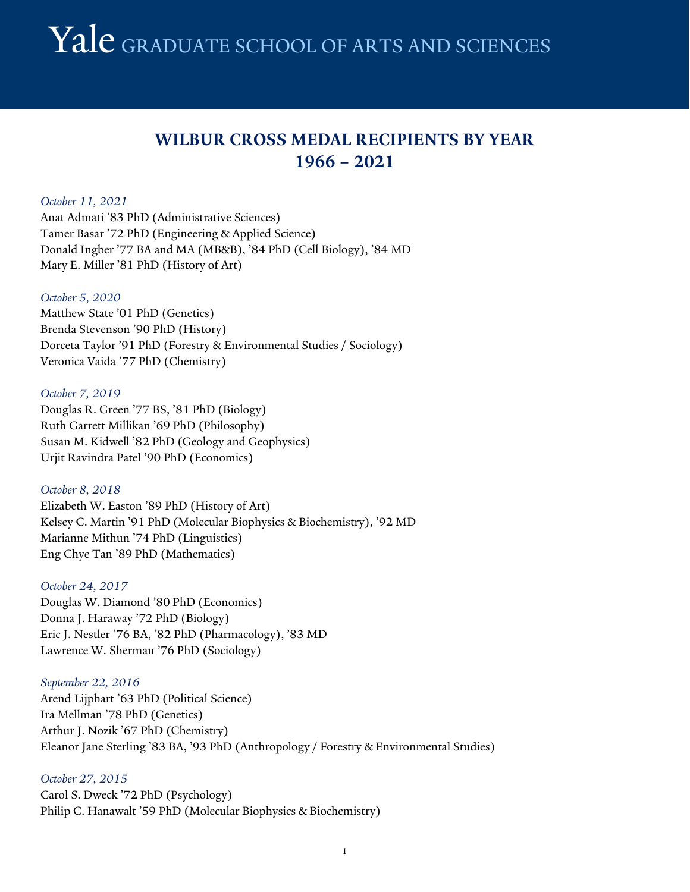## **WILBUR CROSS MEDAL RECIPIENTS BY YEAR 1966 – 2021**

#### *October 11, 2021*

Anat Admati '83 PhD (Administrative Sciences) Tamer Basar '72 PhD (Engineering & Applied Science) Donald Ingber '77 BA and MA (MB&B), '84 PhD (Cell Biology), '84 MD Mary E. Miller '81 PhD (History of Art)

#### *October 5, 2020*

Matthew State '01 PhD (Genetics) Brenda Stevenson '90 PhD (History) Dorceta Taylor '91 PhD (Forestry & Environmental Studies / Sociology) Veronica Vaida '77 PhD (Chemistry)

#### *October 7, 2019*

Douglas R. Green '77 BS, '81 PhD (Biology) Ruth Garrett Millikan '69 PhD (Philosophy) Susan M. Kidwell '82 PhD (Geology and Geophysics) Urjit Ravindra Patel '90 PhD (Economics)

*October 8, 2018* Elizabeth W. Easton '89 PhD (History of Art) Kelsey C. Martin '91 PhD (Molecular Biophysics & Biochemistry), '92 MD Marianne Mithun '74 PhD (Linguistics) Eng Chye Tan '89 PhD (Mathematics)

*October 24, 2017* Douglas W. Diamond '80 PhD (Economics) Donna J. Haraway '72 PhD (Biology) Eric J. Nestler '76 BA, '82 PhD (Pharmacology), '83 MD Lawrence W. Sherman '76 PhD (Sociology)

*September 22, 2016* Arend Lijphart '63 PhD (Political Science) Ira Mellman '78 PhD (Genetics) Arthur J. Nozik '67 PhD (Chemistry)

Eleanor Jane Sterling '83 BA, '93 PhD (Anthropology / Forestry & Environmental Studies)

#### *October 27, 2015*

Carol S. Dweck '72 PhD (Psychology) Philip C. Hanawalt '59 PhD (Molecular Biophysics & Biochemistry)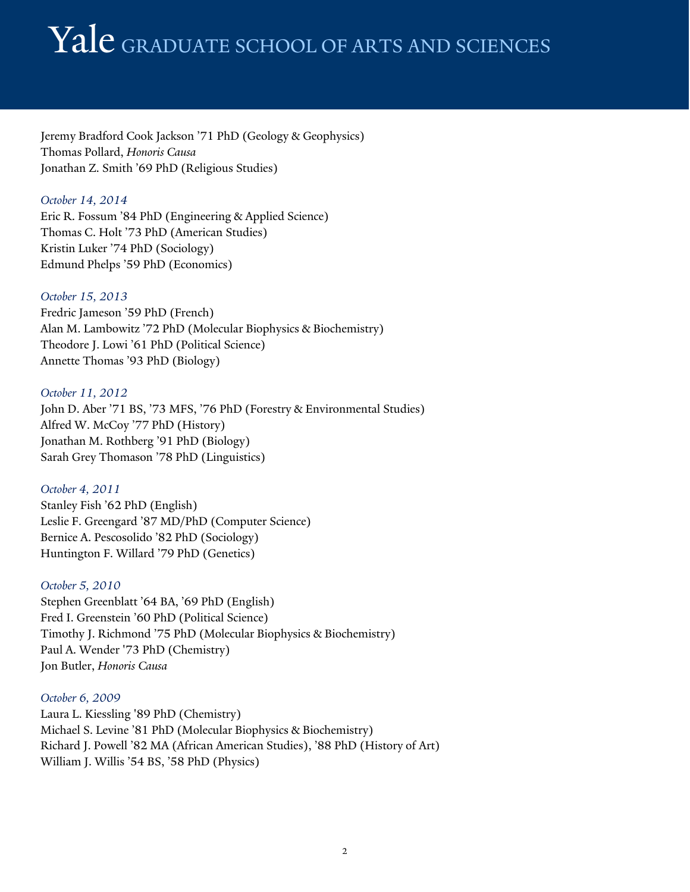Jeremy Bradford Cook Jackson '71 PhD (Geology & Geophysics) Thomas Pollard, *Honoris Causa* Jonathan Z. Smith '69 PhD (Religious Studies)

## *October 14, 2014*

Eric R. Fossum '84 PhD (Engineering & Applied Science) Thomas C. Holt '73 PhD (American Studies) Kristin Luker '74 PhD (Sociology) Edmund Phelps '59 PhD (Economics)

## *October 15, 2013*

Fredric Jameson '59 PhD (French) Alan M. Lambowitz '72 PhD (Molecular Biophysics & Biochemistry) Theodore J. Lowi '61 PhD (Political Science) Annette Thomas '93 PhD (Biology)

## *October 11, 2012*

John D. Aber '71 BS, '73 MFS, '76 PhD (Forestry & Environmental Studies) Alfred W. McCoy '77 PhD (History) Jonathan M. Rothberg '91 PhD (Biology) Sarah Grey Thomason '78 PhD (Linguistics)

## *October 4, 2011*

Stanley Fish '62 PhD (English) Leslie F. Greengard '87 MD/PhD (Computer Science) Bernice A. Pescosolido '82 PhD (Sociology) Huntington F. Willard '79 PhD (Genetics)

## *October 5, 2010*

Stephen Greenblatt '64 BA, '69 PhD (English) Fred I. Greenstein '60 PhD (Political Science) Timothy J. Richmond '75 PhD (Molecular Biophysics & Biochemistry) Paul A. Wender '73 PhD (Chemistry) Jon Butler, *Honoris Causa*

## *October 6, 2009*

Laura L. Kiessling '89 PhD (Chemistry) Michael S. Levine '81 PhD (Molecular Biophysics & Biochemistry) Richard J. Powell '82 MA (African American Studies), '88 PhD (History of Art) William J. Willis '54 BS, '58 PhD (Physics)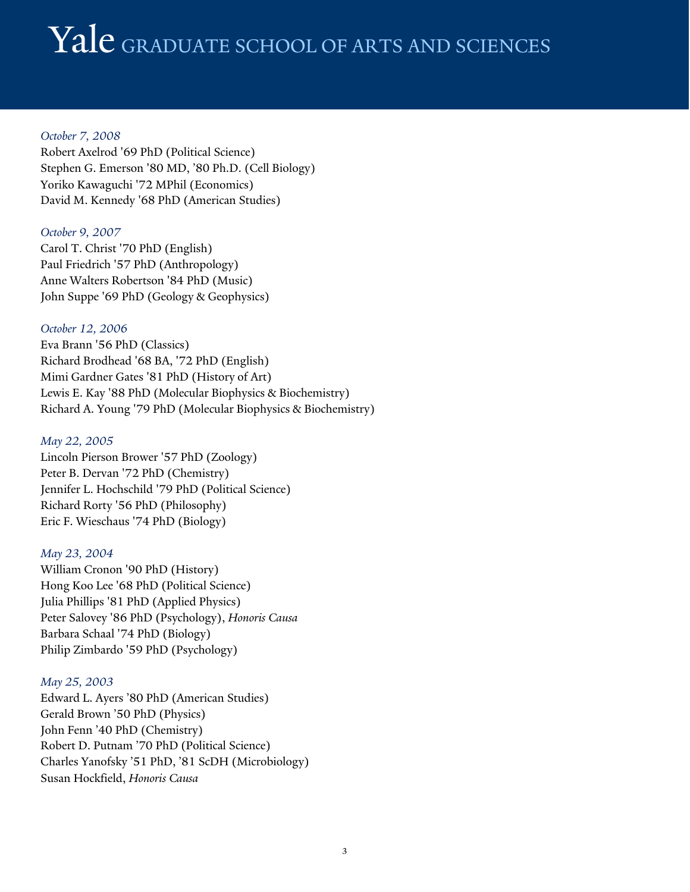## *October 7, 2008*

Robert Axelrod '69 PhD (Political Science) Stephen G. Emerson '80 MD, '80 Ph.D. (Cell Biology) Yoriko Kawaguchi '72 MPhil (Economics) David M. Kennedy '68 PhD (American Studies)

## *October 9, 2007*

Carol T. Christ '70 PhD (English) Paul Friedrich '57 PhD (Anthropology) Anne Walters Robertson '84 PhD (Music) John Suppe '69 PhD (Geology & Geophysics)

## *October 12, 2006*

Eva Brann '56 PhD (Classics) Richard Brodhead '68 BA, '72 PhD (English) Mimi Gardner Gates '81 PhD (History of Art) Lewis E. Kay '88 PhD (Molecular Biophysics & Biochemistry) Richard A. Young '79 PhD (Molecular Biophysics & Biochemistry)

## *May 22, 2005*

Lincoln Pierson Brower '57 PhD (Zoology) Peter B. Dervan '72 PhD (Chemistry) Jennifer L. Hochschild '79 PhD (Political Science) Richard Rorty '56 PhD (Philosophy) Eric F. Wieschaus '74 PhD (Biology)

## *May 23, 2004*

William Cronon '90 PhD (History) Hong Koo Lee '68 PhD (Political Science) Julia Phillips '81 PhD (Applied Physics) Peter Salovey '86 PhD (Psychology), *Honoris Causa* Barbara Schaal '74 PhD (Biology) Philip Zimbardo '59 PhD (Psychology)

## *May 25, 2003*

Edward L. Ayers '80 PhD (American Studies) Gerald Brown '50 PhD (Physics) John Fenn '40 PhD (Chemistry) Robert D. Putnam '70 PhD (Political Science) Charles Yanofsky '51 PhD, '81 ScDH (Microbiology) Susan Hockfield, *Honoris Causa*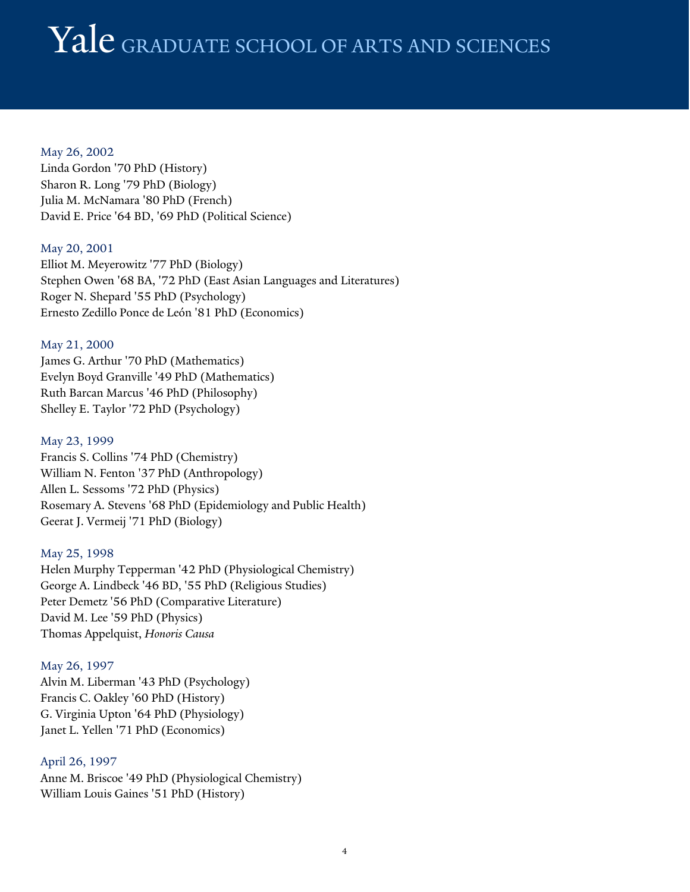## May 26, 2002

Linda Gordon '70 PhD (History) Sharon R. Long '79 PhD (Biology) Julia M. McNamara '80 PhD (French) David E. Price '64 BD, '69 PhD (Political Science)

## May 20, 2001

Elliot M. Meyerowitz '77 PhD (Biology) Stephen Owen '68 BA, '72 PhD (East Asian Languages and Literatures) Roger N. Shepard '55 PhD (Psychology) Ernesto Zedillo Ponce de León '81 PhD (Economics)

#### May 21, 2000

James G. Arthur '70 PhD (Mathematics) Evelyn Boyd Granville '49 PhD (Mathematics) Ruth Barcan Marcus '46 PhD (Philosophy) Shelley E. Taylor '72 PhD (Psychology)

#### May 23, 1999

Francis S. Collins '74 PhD (Chemistry) William N. Fenton '37 PhD (Anthropology) Allen L. Sessoms '72 PhD (Physics) Rosemary A. Stevens '68 PhD (Epidemiology and Public Health) Geerat J. Vermeij '71 PhD (Biology)

#### May 25, 1998

Helen Murphy Tepperman '42 PhD (Physiological Chemistry) George A. Lindbeck '46 BD, '55 PhD (Religious Studies) Peter Demetz '56 PhD (Comparative Literature) David M. Lee '59 PhD (Physics) Thomas Appelquist, *Honoris Causa*

#### May 26, 1997

Alvin M. Liberman '43 PhD (Psychology) Francis C. Oakley '60 PhD (History) G. Virginia Upton '64 PhD (Physiology) Janet L. Yellen '71 PhD (Economics)

## April 26, 1997

Anne M. Briscoe '49 PhD (Physiological Chemistry) William Louis Gaines '51 PhD (History)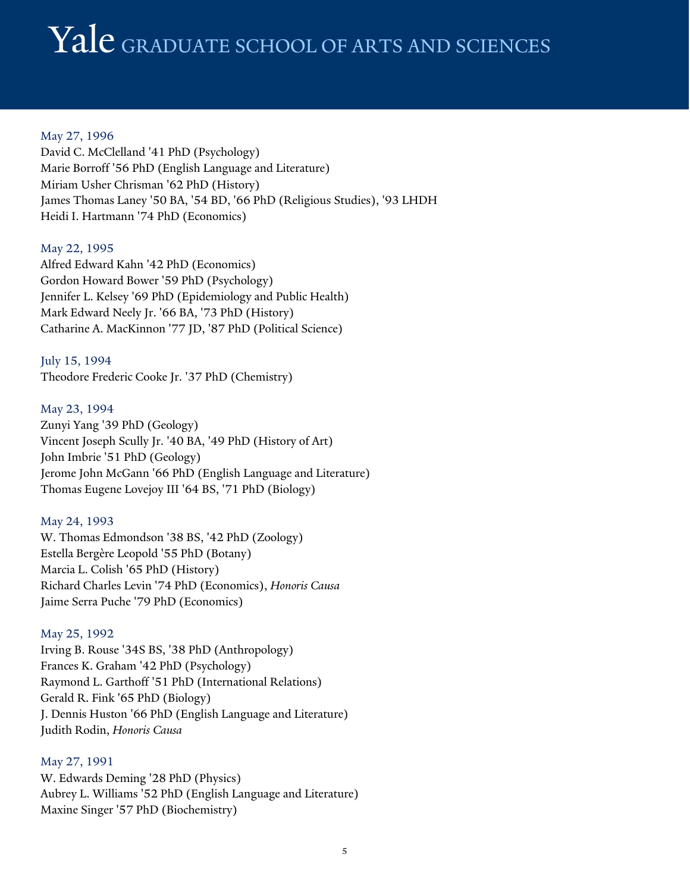May 27, 1996 David C. McClelland '41 PhD (Psychology) Marie Borroff '56 PhD (English Language and Literature) Miriam Usher Chrisman '62 PhD (History) James Thomas Laney '50 BA, '54 BD, '66 PhD (Religious Studies), '93 LHDH Heidi I. Hartmann '74 PhD (Economics)

#### May 22, 1995

Alfred Edward Kahn '42 PhD (Economics) Gordon Howard Bower '59 PhD (Psychology) Jennifer L. Kelsey '69 PhD (Epidemiology and Public Health) Mark Edward Neely Jr. '66 BA, '73 PhD (History) Catharine A. MacKinnon '77 JD, '87 PhD (Political Science)

July 15, 1994 Theodore Frederic Cooke Jr. '37 PhD (Chemistry)

#### May 23, 1994

Zunyi Yang '39 PhD (Geology) Vincent Joseph Scully Jr. '40 BA, '49 PhD (History of Art) John Imbrie '51 PhD (Geology) Jerome John McGann '66 PhD (English Language and Literature) Thomas Eugene Lovejoy III '64 BS, '71 PhD (Biology)

#### May 24, 1993

W. Thomas Edmondson '38 BS, '42 PhD (Zoology) Estella Bergère Leopold '55 PhD (Botany) Marcia L. Colish '65 PhD (History) Richard Charles Levin '74 PhD (Economics), *Honoris Causa* Jaime Serra Puche '79 PhD (Economics)

#### May 25, 1992

Irving B. Rouse '34S BS, '38 PhD (Anthropology) Frances K. Graham '42 PhD (Psychology) Raymond L. Garthoff '51 PhD (International Relations) Gerald R. Fink '65 PhD (Biology) J. Dennis Huston '66 PhD (English Language and Literature) Judith Rodin, *Honoris Causa*

## May 27, 1991

W. Edwards Deming '28 PhD (Physics) Aubrey L. Williams '52 PhD (English Language and Literature) Maxine Singer '57 PhD (Biochemistry)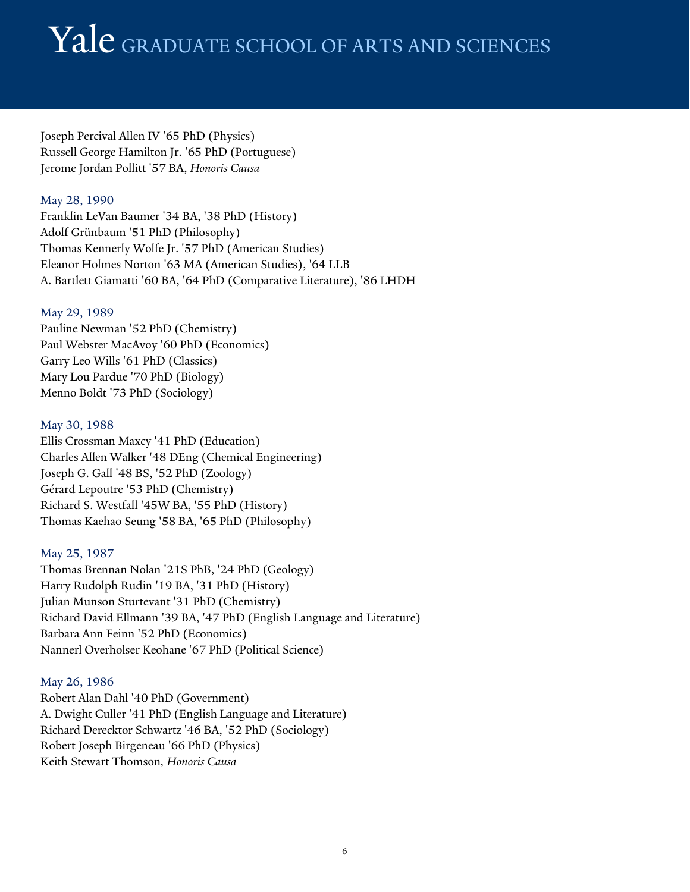Joseph Percival Allen IV '65 PhD (Physics) Russell George Hamilton Jr. '65 PhD (Portuguese) Jerome Jordan Pollitt '57 BA, *Honoris Causa*

## May 28, 1990

Franklin LeVan Baumer '34 BA, '38 PhD (History) Adolf Grünbaum '51 PhD (Philosophy) Thomas Kennerly Wolfe Jr. '57 PhD (American Studies) Eleanor Holmes Norton '63 MA (American Studies), '64 LLB A. Bartlett Giamatti '60 BA, '64 PhD (Comparative Literature), '86 LHDH

## May 29, 1989

Pauline Newman '52 PhD (Chemistry) Paul Webster MacAvoy '60 PhD (Economics) Garry Leo Wills '61 PhD (Classics) Mary Lou Pardue '70 PhD (Biology) Menno Boldt '73 PhD (Sociology)

## May 30, 1988

Ellis Crossman Maxcy '41 PhD (Education) Charles Allen Walker '48 DEng (Chemical Engineering) Joseph G. Gall '48 BS, '52 PhD (Zoology) Gérard Lepoutre '53 PhD (Chemistry) Richard S. Westfall '45W BA, '55 PhD (History) Thomas Kaehao Seung '58 BA, '65 PhD (Philosophy)

## May 25, 1987

Thomas Brennan Nolan '21S PhB, '24 PhD (Geology) Harry Rudolph Rudin '19 BA, '31 PhD (History) Julian Munson Sturtevant '31 PhD (Chemistry) Richard David Ellmann '39 BA, '47 PhD (English Language and Literature) Barbara Ann Feinn '52 PhD (Economics) Nannerl Overholser Keohane '67 PhD (Political Science)

## May 26, 1986

Robert Alan Dahl '40 PhD (Government) A. Dwight Culler '41 PhD (English Language and Literature) Richard Derecktor Schwartz '46 BA, '52 PhD (Sociology) Robert Joseph Birgeneau '66 PhD (Physics) Keith Stewart Thomson*, Honoris Causa*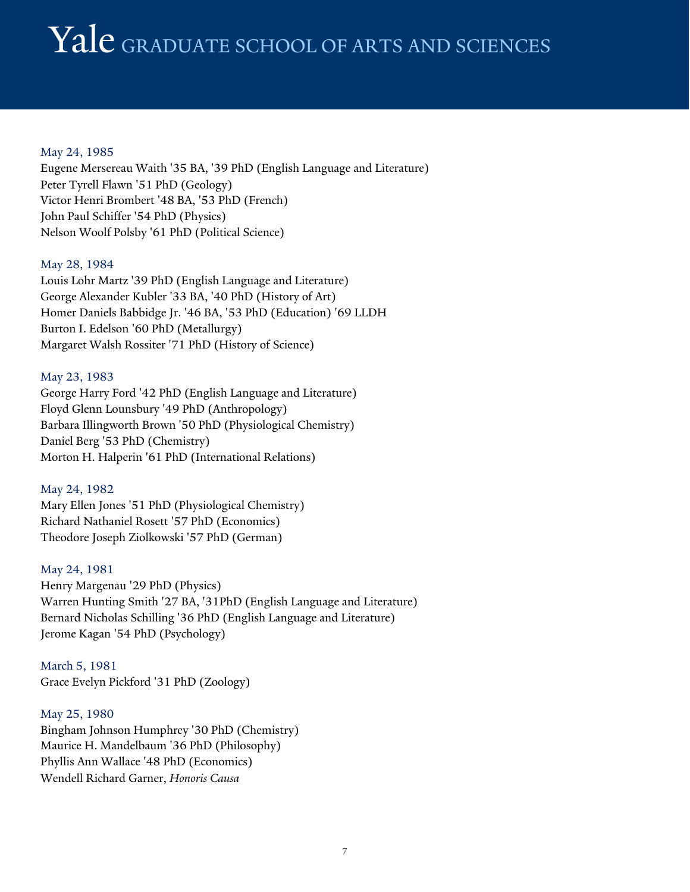## May 24, 1985

Eugene Mersereau Waith '35 BA, '39 PhD (English Language and Literature) Peter Tyrell Flawn '51 PhD (Geology) Victor Henri Brombert '48 BA, '53 PhD (French) John Paul Schiffer '54 PhD (Physics) Nelson Woolf Polsby '61 PhD (Political Science)

## May 28, 1984

Louis Lohr Martz '39 PhD (English Language and Literature) George Alexander Kubler '33 BA, '40 PhD (History of Art) Homer Daniels Babbidge Jr. '46 BA, '53 PhD (Education) '69 LLDH Burton I. Edelson '60 PhD (Metallurgy) Margaret Walsh Rossiter '71 PhD (History of Science)

## May 23, 1983

George Harry Ford '42 PhD (English Language and Literature) Floyd Glenn Lounsbury '49 PhD (Anthropology) Barbara Illingworth Brown '50 PhD (Physiological Chemistry) Daniel Berg '53 PhD (Chemistry) Morton H. Halperin '61 PhD (International Relations)

## May 24, 1982

Mary Ellen Jones '51 PhD (Physiological Chemistry) Richard Nathaniel Rosett '57 PhD (Economics) Theodore Joseph Ziolkowski '57 PhD (German)

## May 24, 1981

Henry Margenau '29 PhD (Physics) Warren Hunting Smith '27 BA, '31PhD (English Language and Literature) Bernard Nicholas Schilling '36 PhD (English Language and Literature) Jerome Kagan '54 PhD (Psychology)

March 5, 1981 Grace Evelyn Pickford '31 PhD (Zoology)

## May 25, 1980

Bingham Johnson Humphrey '30 PhD (Chemistry) Maurice H. Mandelbaum '36 PhD (Philosophy) Phyllis Ann Wallace '48 PhD (Economics) Wendell Richard Garner, *Honoris Causa*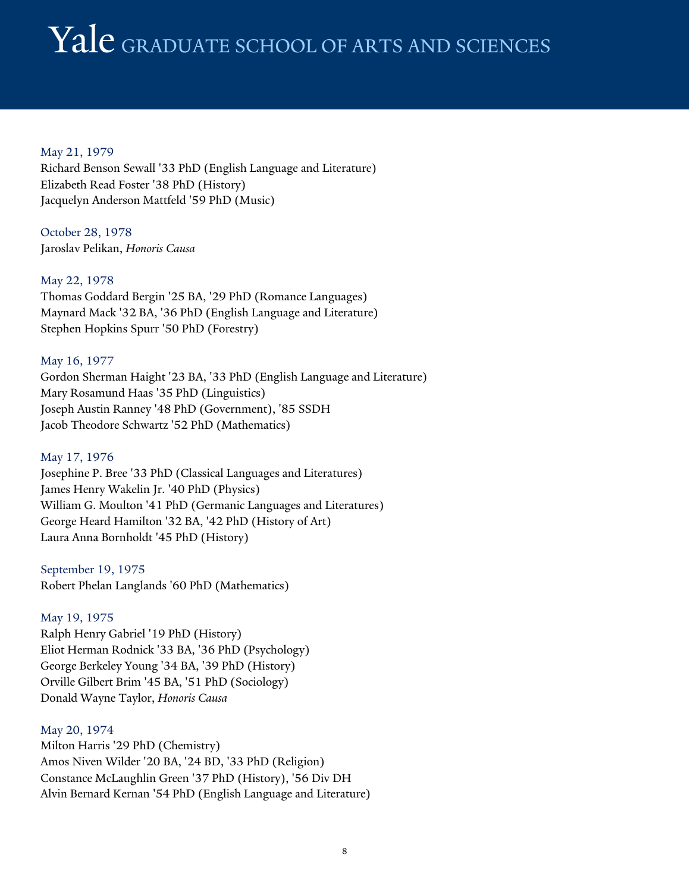## Yale graduate school of ARTS AND SCIENCES

May 21, 1979 Richard Benson Sewall '33 PhD (English Language and Literature) Elizabeth Read Foster '38 PhD (History) Jacquelyn Anderson Mattfeld '59 PhD (Music)

October 28, 1978 Jaroslav Pelikan, *Honoris Causa*

May 22, 1978 Thomas Goddard Bergin '25 BA, '29 PhD (Romance Languages) Maynard Mack '32 BA, '36 PhD (English Language and Literature) Stephen Hopkins Spurr '50 PhD (Forestry)

May 16, 1977 Gordon Sherman Haight '23 BA, '33 PhD (English Language and Literature) Mary Rosamund Haas '35 PhD (Linguistics) Joseph Austin Ranney '48 PhD (Government), '85 SSDH Jacob Theodore Schwartz '52 PhD (Mathematics)

#### May 17, 1976

Josephine P. Bree '33 PhD (Classical Languages and Literatures) James Henry Wakelin Jr. '40 PhD (Physics) William G. Moulton '41 PhD (Germanic Languages and Literatures) George Heard Hamilton '32 BA, '42 PhD (History of Art) Laura Anna Bornholdt '45 PhD (History)

September 19, 1975 Robert Phelan Langlands '60 PhD (Mathematics)

#### May 19, 1975

Ralph Henry Gabriel '19 PhD (History) Eliot Herman Rodnick '33 BA, '36 PhD (Psychology) George Berkeley Young '34 BA, '39 PhD (History) Orville Gilbert Brim '45 BA, '51 PhD (Sociology) Donald Wayne Taylor, *Honoris Causa*

#### May 20, 1974

Milton Harris '29 PhD (Chemistry) Amos Niven Wilder '20 BA, '24 BD, '33 PhD (Religion) Constance McLaughlin Green '37 PhD (History), '56 Div DH Alvin Bernard Kernan '54 PhD (English Language and Literature)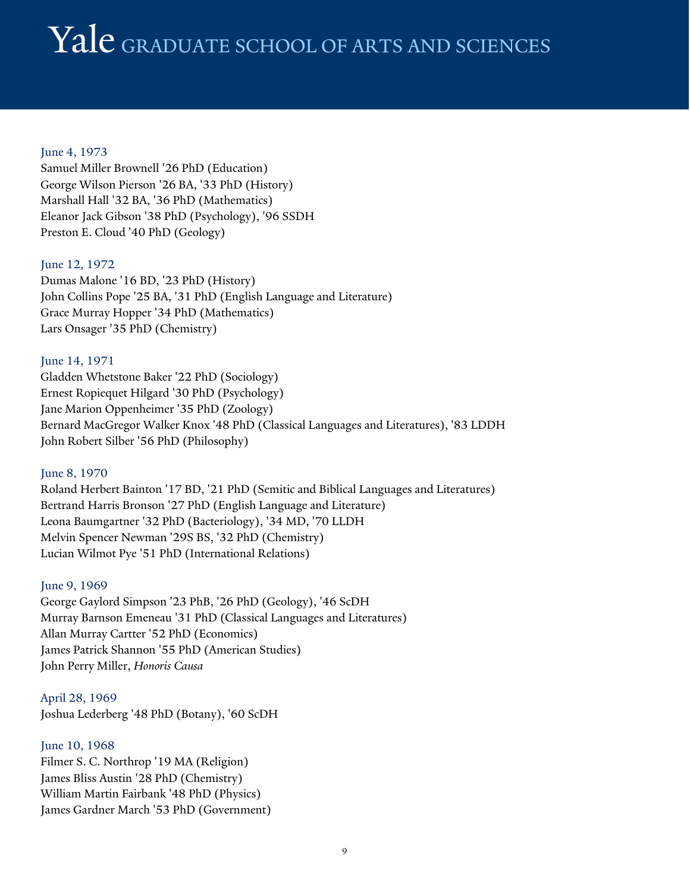## June 4, 1973

Samuel Miller Brownell '26 PhD (Education) George Wilson Pierson '26 BA, '33 PhD (History) Marshall Hall '32 BA, '36 PhD (Mathematics) Eleanor Jack Gibson '38 PhD (Psychology), '96 SSDH Preston E. Cloud '40 PhD (Geology)

#### June 12, 1972

Dumas Malone '16 BD, '23 PhD (History) John Collins Pope '25 BA, '31 PhD (English Language and Literature) Grace Murray Hopper '34 PhD (Mathematics) Lars Onsager '35 PhD (Chemistry)

## June 14, 1971 Gladden Whetstone Baker '22 PhD (Sociology) Ernest Ropiequet Hilgard '30 PhD (Psychology) Jane Marion Oppenheimer '35 PhD (Zoology) Bernard MacGregor Walker Knox '48 PhD (Classical Languages and Literatures), '83 LDDH John Robert Silber '56 PhD (Philosophy)

#### June 8, 1970

Roland Herbert Bainton '17 BD, '21 PhD (Semitic and Biblical Languages and Literatures) Bertrand Harris Bronson '27 PhD (English Language and Literature) Leona Baumgartner '32 PhD (Bacteriology), '34 MD, '70 LLDH Melvin Spencer Newman '29S BS, '32 PhD (Chemistry) Lucian Wilmot Pye '51 PhD (International Relations)

#### June 9, 1969

George Gaylord Simpson '23 PhB, '26 PhD (Geology), '46 ScDH Murray Barnson Emeneau '31 PhD (Classical Languages and Literatures) Allan Murray Cartter '52 PhD (Economics) James Patrick Shannon '55 PhD (American Studies) John Perry Miller, *Honoris Causa*

April 28, 1969 Joshua Lederberg '48 PhD (Botany), '60 ScDH

## June 10, 1968 Filmer S. C. Northrop '19 MA (Religion) James Bliss Austin '28 PhD (Chemistry) William Martin Fairbank '48 PhD (Physics) James Gardner March '53 PhD (Government)